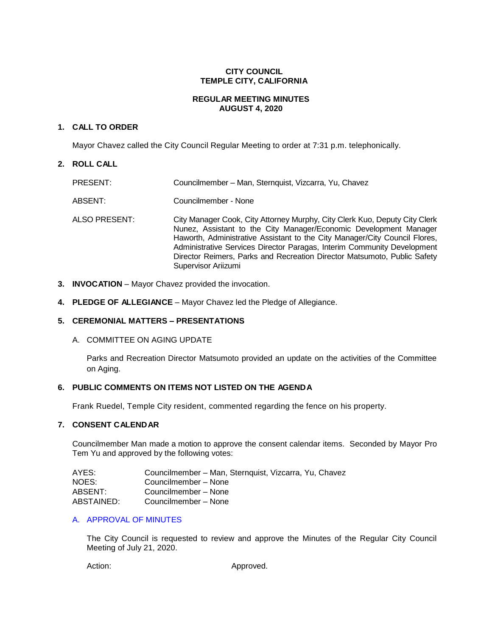## **CITY COUNCIL TEMPLE CITY, CALIFORNIA**

# **REGULAR MEETING MINUTES AUGUST 4, 2020**

### **1. CALL TO ORDER**

Mayor Chavez called the City Council Regular Meeting to order at 7:31 p.m. telephonically.

## **2. ROLL CALL**

| PRESENT:      | Councilmember – Man, Sternquist, Vizcarra, Yu, Chavez                                                                                                                                                                                                                                                                                                                                                       |
|---------------|-------------------------------------------------------------------------------------------------------------------------------------------------------------------------------------------------------------------------------------------------------------------------------------------------------------------------------------------------------------------------------------------------------------|
| ABSENT:       | Councilmember - None                                                                                                                                                                                                                                                                                                                                                                                        |
| ALSO PRESENT: | City Manager Cook, City Attorney Murphy, City Clerk Kuo, Deputy City Clerk<br>Nunez, Assistant to the City Manager/Economic Development Manager<br>Haworth, Administrative Assistant to the City Manager/City Council Flores,<br>Administrative Services Director Paragas, Interim Community Development<br>Director Reimers, Parks and Recreation Director Matsumoto, Public Safety<br>Supervisor Ariizumi |

- **3. INVOCATION** Mayor Chavez provided the invocation.
- **4. PLEDGE OF ALLEGIANCE** Mayor Chavez led the Pledge of Allegiance.

### **5. CEREMONIAL MATTERS – PRESENTATIONS**

A. COMMITTEE ON AGING UPDATE

Parks and Recreation Director Matsumoto provided an update on the activities of the Committee on Aging.

# **6. PUBLIC COMMENTS ON ITEMS NOT LISTED ON THE AGENDA**

Frank Ruedel, Temple City resident, commented regarding the fence on his property.

### **7. CONSENT CALENDAR**

Councilmember Man made a motion to approve the consent calendar items. Seconded by Mayor Pro Tem Yu and approved by the following votes:

| AYES:      | Councilmember – Man, Sternquist, Vizcarra, Yu, Chavez |
|------------|-------------------------------------------------------|
| NOES:      | Councilmember – None                                  |
| ABSENT:    | Councilmember - None                                  |
| ABSTAINED: | Councilmember - None                                  |

### A. [APPROVAL](https://ca-templecity.civicplus.com/DocumentCenter/View/14868/02-7A-CCM---2020-07-21) OF MINUTES

The City Council is requested to review and approve the Minutes of the Regular City Council Meeting of July 21, 2020.

Action: Approved.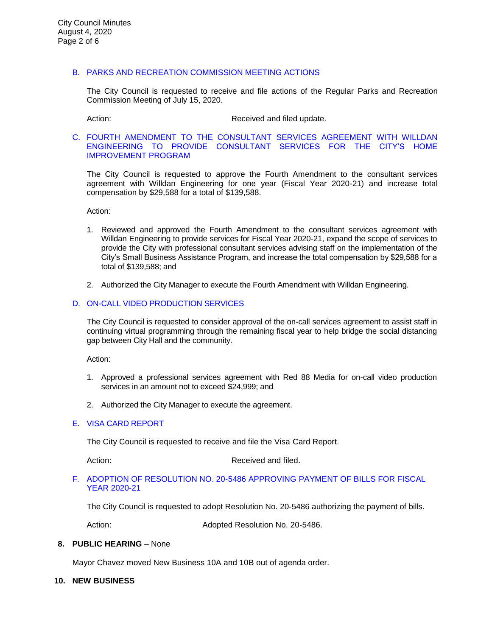### B. PARKS AND RECREATION [COMMISSION MEETING ACTIONS](https://ca-templecity.civicplus.com/DocumentCenter/View/14869/03-7B-Parks-and-Recreation-Commission-Meeting-Actions-2020-07-15)

The City Council is requested to receive and file actions of the Regular Parks and Recreation Commission Meeting of July 15, 2020.

Action: **Received and filed update.** 

#### [C.](https://ca-templecity.civicplus.com/DocumentCenter/View/14873/04-7C-Amendment-to-Agreement-with-Willdan-Engineering_Staff-Report-w-attachments) [FOURTH AMENDMENT TO THE CONSULTANT SERVICES AGREEMENT WITH WILLDAN](https://ca-templecity.civicplus.com/DocumentCenter/View/14873/04-7C-Amendment-to-Agreement-with-Willdan-Engineering_Staff-Report-w-attachments)  [ENGINEERING TO PROVIDE CONSULTANT SERVICES FOR THE CITY'S HOME](https://ca-templecity.civicplus.com/DocumentCenter/View/14873/04-7C-Amendment-to-Agreement-with-Willdan-Engineering_Staff-Report-w-attachments)  [IMPROVEMENT PROGRAM](https://ca-templecity.civicplus.com/DocumentCenter/View/14873/04-7C-Amendment-to-Agreement-with-Willdan-Engineering_Staff-Report-w-attachments)

The City Council is requested to approve the Fourth Amendment to the consultant services agreement with Willdan Engineering for one year (Fiscal Year 2020-21) and increase total compensation by \$29,588 for a total of \$139,588.

Action:

- 1. Reviewed and approved the Fourth Amendment to the consultant services agreement with Willdan Engineering to provide services for Fiscal Year 2020-21, expand the scope of services to provide the City with professional consultant services advising staff on the implementation of the City's Small Business Assistance Program, and increase the total compensation by \$29,588 for a total of \$139,588; and
- 2. Authorized the City Manager to execute the Fourth Amendment with Willdan Engineering.

### D. [ON-CALL VIDEO PRODUCTION SERVICES](https://ca-templecity.civicplus.com/DocumentCenter/View/14870/05-7D-Red-88-Media-OnCall-Services_Staff-Report-final)

The City Council is requested to consider approval of the on-call services agreement to assist staff in continuing virtual programming through the remaining fiscal year to help bridge the social distancing gap between City Hall and the community.

Action:

- 1. Approved a professional services agreement with Red 88 Media for on-call video production services in an amount not to exceed \$24,999; and
- 2. Authorized the City Manager to execute the agreement.

### E. [VISA CARD REPORT](https://ca-templecity.civicplus.com/DocumentCenter/View/14871/06-7E-Visa-Card-Report)

The City Council is requested to receive and file the Visa Card Report.

Action: Received and filed.

### F. ADOPTION OF RESOLUTION NO. 20-5486 [APPROVING PAYMENT OF BILLS FOR FISCAL](https://ca-templecity.civicplus.com/DocumentCenter/View/14864/07-7F-CC-Warrant)  [YEAR 2020-21](https://ca-templecity.civicplus.com/DocumentCenter/View/14864/07-7F-CC-Warrant)

The City Council is requested to adopt Resolution No. 20-5486 authorizing the payment of bills.

Action: **Adopted Resolution No. 20-5486.** 

### **8. PUBLIC HEARING** – None

Mayor Chavez moved New Business 10A and 10B out of agenda order.

#### **10. NEW BUSINESS**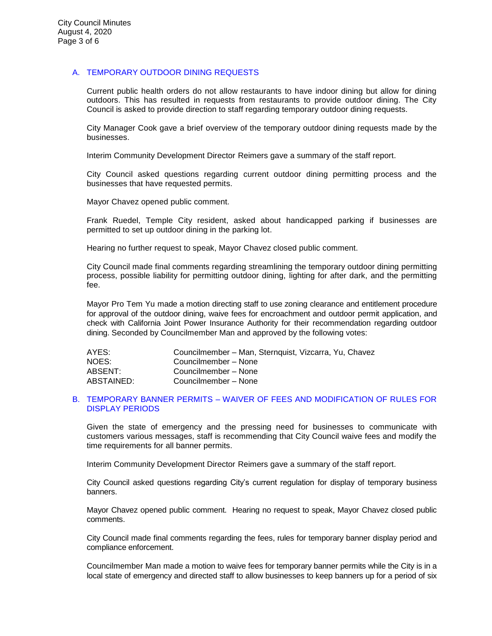## A. [TEMPORARY OUTDOOR DINING REQUESTS](https://ca-templecity.civicplus.com/DocumentCenter/View/14867/10-10A-Temporary-Outdoor-Dining-Application---Staff-Report)

Current public health orders do not allow restaurants to have indoor dining but allow for dining outdoors. This has resulted in requests from restaurants to provide outdoor dining. The City Council is asked to provide direction to staff regarding temporary outdoor dining requests.

City Manager Cook gave a brief overview of the temporary outdoor dining requests made by the businesses.

Interim Community Development Director Reimers gave a summary of the staff report.

City Council asked questions regarding current outdoor dining permitting process and the businesses that have requested permits.

Mayor Chavez opened public comment.

Frank Ruedel, Temple City resident, asked about handicapped parking if businesses are permitted to set up outdoor dining in the parking lot.

Hearing no further request to speak, Mayor Chavez closed public comment.

City Council made final comments regarding streamlining the temporary outdoor dining permitting process, possible liability for permitting outdoor dining, lighting for after dark, and the permitting fee.

Mayor Pro Tem Yu made a motion directing staff to use zoning clearance and entitlement procedure for approval of the outdoor dining, waive fees for encroachment and outdoor permit application, and check with California Joint Power Insurance Authority for their recommendation regarding outdoor dining. Seconded by Councilmember Man and approved by the following votes:

| AYES:      | Councilmember - Man, Sternquist, Vizcarra, Yu, Chavez |
|------------|-------------------------------------------------------|
| NOES:      | Councilmember – None                                  |
| ABSENT:    | Councilmember - None                                  |
| ABSTAINED: | Councilmember - None                                  |

### B. TEMPORARY BANNER PERMITS – [WAIVER OF FEES AND MODIFICATION OF RULES FOR](https://ca-templecity.civicplus.com/DocumentCenter/View/14874/11-10B-Banner-Permits_Staff-Report_Final)  [DISPLAY PERIODS](https://ca-templecity.civicplus.com/DocumentCenter/View/14874/11-10B-Banner-Permits_Staff-Report_Final)

Given the state of emergency and the pressing need for businesses to communicate with customers various messages, staff is recommending that City Council waive fees and modify the time requirements for all banner permits.

Interim Community Development Director Reimers gave a summary of the staff report.

City Council asked questions regarding City's current regulation for display of temporary business banners.

Mayor Chavez opened public comment. Hearing no request to speak, Mayor Chavez closed public comments.

City Council made final comments regarding the fees, rules for temporary banner display period and compliance enforcement.

Councilmember Man made a motion to waive fees for temporary banner permits while the City is in a local state of emergency and directed staff to allow businesses to keep banners up for a period of six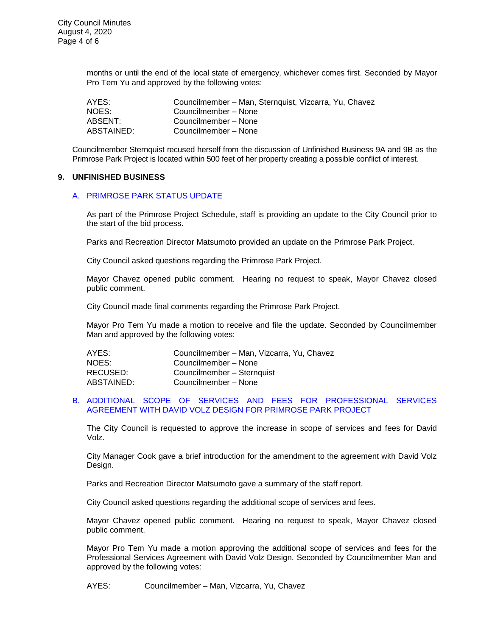months or until the end of the local state of emergency, whichever comes first. Seconded by Mayor Pro Tem Yu and approved by the following votes:

| AYES:      | Councilmember – Man, Sternquist, Vizcarra, Yu, Chavez |
|------------|-------------------------------------------------------|
| NOES:      | Councilmember - None                                  |
| ABSENT:    | Councilmember - None                                  |
| ABSTAINED: | Councilmember - None                                  |

Councilmember Sternquist recused herself from the discussion of Unfinished Business 9A and 9B as the Primrose Park Project is located within 500 feet of her property creating a possible conflict of interest.

### **9. UNFINISHED BUSINESS**

### A. [PRIMROSE PARK STATUS UPDATE](https://ca-templecity.civicplus.com/DocumentCenter/View/14865/08-9A-Primrose-Park-Project-Update---Staff-Report)

As part of the Primrose Project Schedule, staff is providing an update to the City Council prior to the start of the bid process.

Parks and Recreation Director Matsumoto provided an update on the Primrose Park Project.

City Council asked questions regarding the Primrose Park Project.

Mayor Chavez opened public comment. Hearing no request to speak, Mayor Chavez closed public comment.

City Council made final comments regarding the Primrose Park Project.

Mayor Pro Tem Yu made a motion to receive and file the update. Seconded by Councilmember Man and approved by the following votes:

| AYES:      | Councilmember - Man, Vizcarra, Yu, Chavez |
|------------|-------------------------------------------|
| NOES:      | Councilmember - None                      |
| RECUSED:   | Councilmember - Sternquist                |
| ABSTAINED: | Councilmember - None                      |

#### B. [ADDITIONAL SCOPE OF SERVICES AND FEES FOR PROFESSIONAL SERVICES](https://ca-templecity.civicplus.com/DocumentCenter/View/14866/09-9B-Amendment-to-David-Volz-Agreement-for-Primrose-Park-Design---Staff-Report)  AGREEMENT [WITH DAVID VOLZ DESIGN FOR PRIMROSE PARK PROJECT](https://ca-templecity.civicplus.com/DocumentCenter/View/14866/09-9B-Amendment-to-David-Volz-Agreement-for-Primrose-Park-Design---Staff-Report)

The City Council is requested to approve the increase in scope of services and fees for David Volz.

City Manager Cook gave a brief introduction for the amendment to the agreement with David Volz Design.

Parks and Recreation Director Matsumoto gave a summary of the staff report.

City Council asked questions regarding the additional scope of services and fees.

Mayor Chavez opened public comment. Hearing no request to speak, Mayor Chavez closed public comment.

Mayor Pro Tem Yu made a motion approving the additional scope of services and fees for the Professional Services Agreement with David Volz Design. Seconded by Councilmember Man and approved by the following votes:

AYES: Councilmember – Man, Vizcarra, Yu, Chavez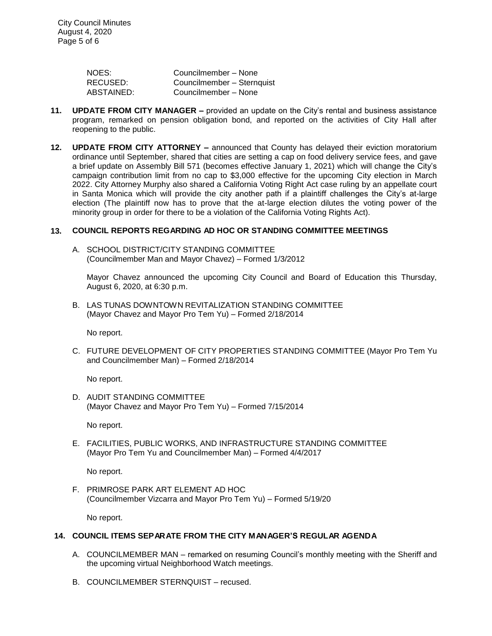| NOES:      | Councilmember - None       |
|------------|----------------------------|
| RECUSED:   | Councilmember - Sternquist |
| ABSTAINED: | Councilmember – None       |

- **11. UPDATE FROM CITY MANAGER –** provided an update on the City's rental and business assistance program, remarked on pension obligation bond, and reported on the activities of City Hall after reopening to the public.
- **12. UPDATE FROM CITY ATTORNEY –** announced that County has delayed their eviction moratorium ordinance until September, shared that cities are setting a cap on food delivery service fees, and gave a brief update on Assembly Bill 571 (becomes effective January 1, 2021) which will change the City's campaign contribution limit from no cap to \$3,000 effective for the upcoming City election in March 2022. City Attorney Murphy also shared a California Voting Right Act case ruling by an appellate court in Santa Monica which will provide the city another path if a plaintiff challenges the City's at-large election (The plaintiff now has to prove that the at-large election dilutes the voting power of the minority group in order for there to be a violation of the California Voting Rights Act).

### **13. COUNCIL REPORTS REGARDING AD HOC OR STANDING COMMITTEE MEETINGS**

A. SCHOOL DISTRICT/CITY STANDING COMMITTEE (Councilmember Man and Mayor Chavez) – Formed 1/3/2012

Mayor Chavez announced the upcoming City Council and Board of Education this Thursday, August 6, 2020, at 6:30 p.m.

B. LAS TUNAS DOWNTOWN REVITALIZATION STANDING COMMITTEE (Mayor Chavez and Mayor Pro Tem Yu) – Formed 2/18/2014

No report.

C. FUTURE DEVELOPMENT OF CITY PROPERTIES STANDING COMMITTEE (Mayor Pro Tem Yu and Councilmember Man) – Formed 2/18/2014

No report.

D. AUDIT STANDING COMMITTEE (Mayor Chavez and Mayor Pro Tem Yu) – Formed 7/15/2014

No report.

E. FACILITIES, PUBLIC WORKS, AND INFRASTRUCTURE STANDING COMMITTEE (Mayor Pro Tem Yu and Councilmember Man) – Formed 4/4/2017

No report.

F. PRIMROSE PARK ART ELEMENT AD HOC (Councilmember Vizcarra and Mayor Pro Tem Yu) – Formed 5/19/20

No report.

### **14. COUNCIL ITEMS SEPARATE FROM THE CITY MANAGER'S REGULAR AGENDA**

- A. COUNCILMEMBER MAN remarked on resuming Council's monthly meeting with the Sheriff and the upcoming virtual Neighborhood Watch meetings.
- B. COUNCILMEMBER STERNQUIST recused.